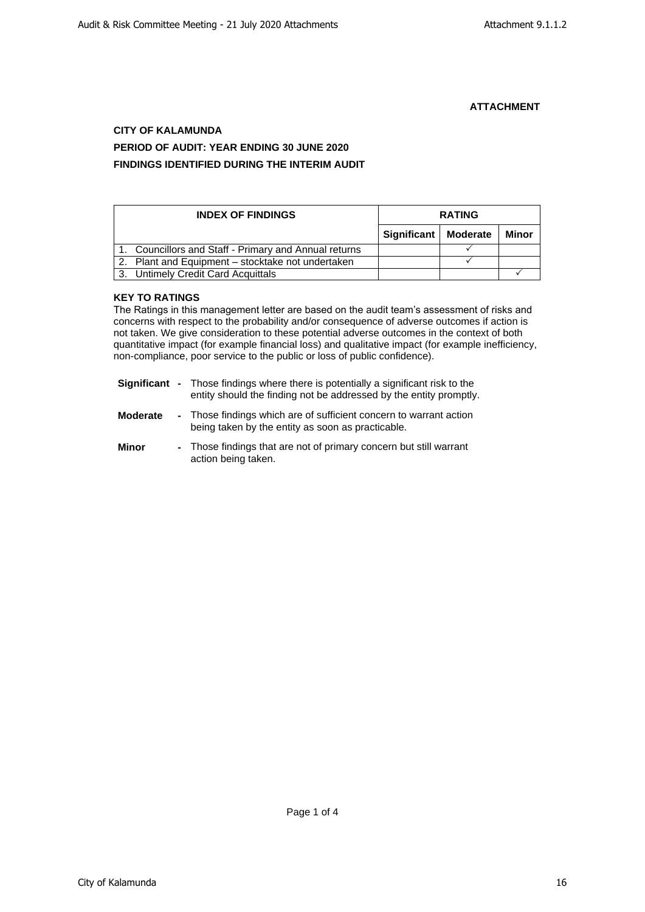# **CITY OF KALAMUNDA PERIOD OF AUDIT: YEAR ENDING 30 JUNE 2020 FINDINGS IDENTIFIED DURING THE INTERIM AUDIT**

| <b>INDEX OF FINDINGS</b> |                                                    | <b>RATING</b>          |  |       |
|--------------------------|----------------------------------------------------|------------------------|--|-------|
|                          |                                                    | Significant   Moderate |  | Minor |
|                          | Councillors and Staff - Primary and Annual returns |                        |  |       |
| 2.                       | Plant and Equipment – stocktake not undertaken     |                        |  |       |
| 3.                       | <b>Untimely Credit Card Acquittals</b>             |                        |  |       |

# **KEY TO RATINGS**

The Ratings in this management letter are based on the audit team's assessment of risks and concerns with respect to the probability and/or consequence of adverse outcomes if action is not taken. We give consideration to these potential adverse outcomes in the context of both quantitative impact (for example financial loss) and qualitative impact (for example inefficiency, non-compliance, poor service to the public or loss of public confidence).

- **Significant -** Those findings where there is potentially a significant risk to the entity should the finding not be addressed by the entity promptly.
- **Moderate -** Those findings which are of sufficient concern to warrant action being taken by the entity as soon as practicable.
- **Minor -** Those findings that are not of primary concern but still warrant action being taken.

Page 1 of 4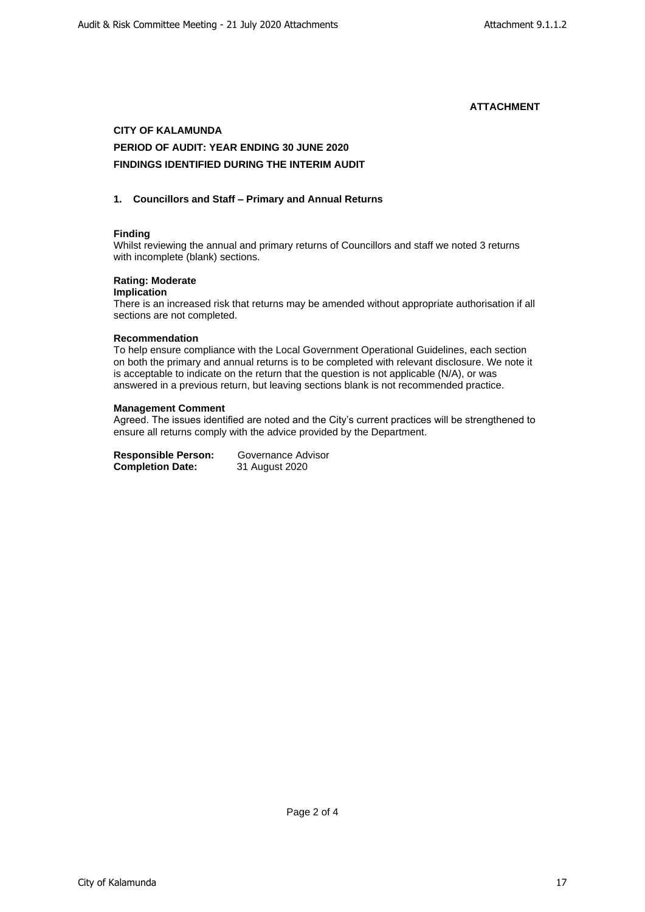# **CITY OF KALAMUNDA PERIOD OF AUDIT: YEAR ENDING 30 JUNE 2020 FINDINGS IDENTIFIED DURING THE INTERIM AUDIT**

### **1. Councillors and Staff – Primary and Annual Returns**

# **Finding**

Whilst reviewing the annual and primary returns of Councillors and staff we noted 3 returns with incomplete (blank) sections.

# **Rating: Moderate**

#### **Implication**

There is an increased risk that returns may be amended without appropriate authorisation if all sections are not completed.

#### **Recommendation**

To help ensure compliance with the Local Government Operational Guidelines, each section on both the primary and annual returns is to be completed with relevant disclosure. We note it is acceptable to indicate on the return that the question is not applicable (N/A), or was answered in a previous return, but leaving sections blank is not recommended practice.

#### **Management Comment**

Agreed. The issues identified are noted and the City's current practices will be strengthened to ensure all returns comply with the advice provided by the Department.

**Responsible Person:** Governance Advisor<br>**Completion Date:** 31 August 2020 **Completion Date:**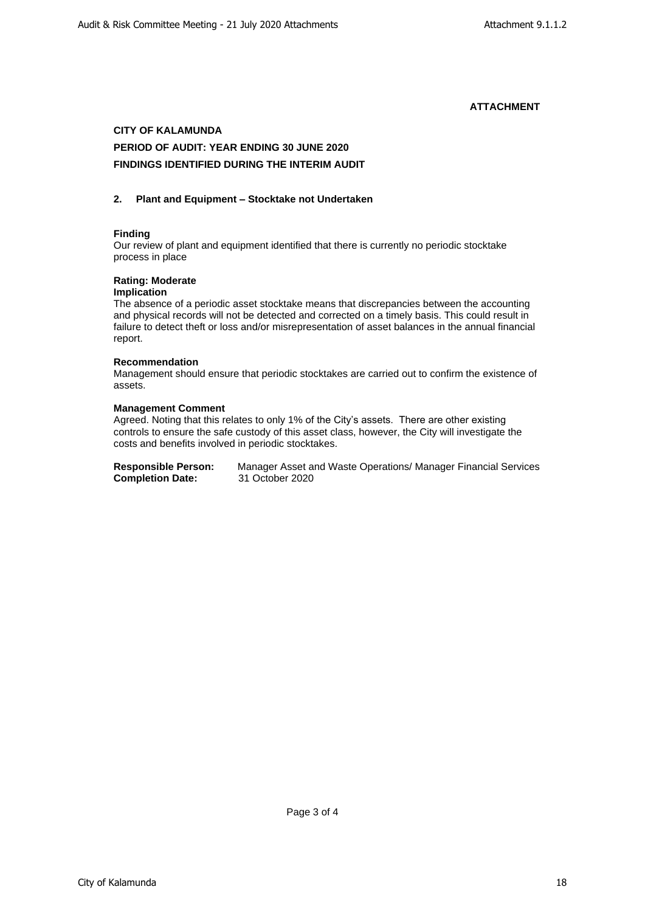# **CITY OF KALAMUNDA**

# **PERIOD OF AUDIT: YEAR ENDING 30 JUNE 2020 FINDINGS IDENTIFIED DURING THE INTERIM AUDIT**

### **2. Plant and Equipment – Stocktake not Undertaken**

# **Finding**

Our review of plant and equipment identified that there is currently no periodic stocktake process in place

# **Rating: Moderate**

# **Implication**

The absence of a periodic asset stocktake means that discrepancies between the accounting and physical records will not be detected and corrected on a timely basis. This could result in failure to detect theft or loss and/or misrepresentation of asset balances in the annual financial report.

### **Recommendation**

Management should ensure that periodic stocktakes are carried out to confirm the existence of assets.

#### **Management Comment**

Agreed. Noting that this relates to only 1% of the City's assets. There are other existing controls to ensure the safe custody of this asset class, however, the City will investigate the costs and benefits involved in periodic stocktakes.

| <b>Responsible Person:</b> | Manager Asset and Waste Operations/ Manager Financial Services |
|----------------------------|----------------------------------------------------------------|
| <b>Completion Date:</b>    | 31 October 2020                                                |